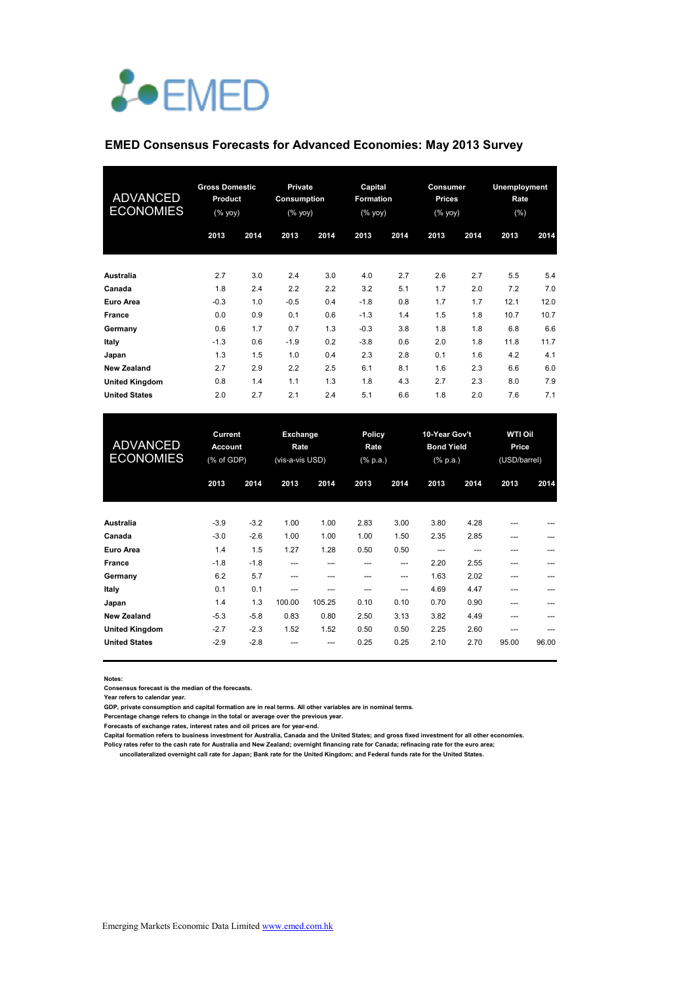# *L*•EMED

#### **EMED Consensus Forecasts for Advanced Economies: May 2013 Survey**

| <b>ADVANCED</b><br><b>ECONOMIES</b> | <b>Gross Domestic</b><br>Product<br>(% yoy) |      | <b>Private</b><br>Consumption<br>(% yoy) |      | Capital<br><b>Formation</b><br>(% yoy) |      | Consumer<br><b>Prices</b><br>(% yoy) |      | Unemployment<br>Rate<br>(%) |      |
|-------------------------------------|---------------------------------------------|------|------------------------------------------|------|----------------------------------------|------|--------------------------------------|------|-----------------------------|------|
|                                     | 2013                                        | 2014 | 2013                                     | 2014 | 2013                                   | 2014 | 2013                                 | 2014 | 2013                        | 2014 |
| Australia                           | 2.7                                         | 3.0  | 2.4                                      | 3.0  | 4.0                                    | 2.7  | 2.6                                  | 2.7  | 5.5                         | 5.4  |
| Canada                              | 1.8                                         | 2.4  | 2.2                                      | 2.2  | 3.2                                    | 5.1  | 1.7                                  | 2.0  | 7.2                         | 7.0  |
| <b>Euro Area</b>                    | $-0.3$                                      | 1.0  | $-0.5$                                   | 0.4  | $-1.8$                                 | 0.8  | 1.7                                  | 1.7  | 12.1                        | 12.0 |
| <b>France</b>                       | 0.0                                         | 0.9  | 0.1                                      | 0.6  | $-1.3$                                 | 1.4  | 1.5                                  | 1.8  | 10.7                        | 10.7 |
| Germany                             | 0.6                                         | 1.7  | 0.7                                      | 1.3  | $-0.3$                                 | 3.8  | 1.8                                  | 1.8  | 6.8                         | 6.6  |
| Italy                               | $-1.3$                                      | 0.6  | $-1.9$                                   | 0.2  | $-3.8$                                 | 0.6  | 2.0                                  | 1.8  | 11.8                        | 11.7 |
| Japan                               | 1.3                                         | 1.5  | 1.0                                      | 0.4  | 2.3                                    | 2.8  | 0.1                                  | 1.6  | 4.2                         | 4.1  |
| <b>New Zealand</b>                  | 2.7                                         | 2.9  | 2.2                                      | 2.5  | 6.1                                    | 8.1  | 1.6                                  | 2.3  | 6.6                         | 6.0  |
| <b>United Kingdom</b>               | 0.8                                         | 1.4  | 1.1                                      | 1.3  | 1.8                                    | 4.3  | 2.7                                  | 2.3  | 8.0                         | 7.9  |
| <b>United States</b>                | 2.0                                         | 2.7  | 2.1                                      | 2.4  | 5.1                                    | 6.6  | 1.8                                  | 2.0  | 7.6                         | 7.1  |

| <b>ADVANCED</b><br><b>ECONOMIES</b> | Current<br><b>Account</b><br>(% of GDP) |        | Exchange<br>Rate<br>(vis-a-vis USD) |        | <b>Policy</b><br>Rate<br>$(% \mathbb{R}^2)$ (% p.a.) |      | 10-Year Gov't<br><b>Bond Yield</b><br>$(% \mathbb{R}^2)$ (% p.a.) |       | <b>WTI Oil</b><br>Price<br>(USD/barrel) |       |
|-------------------------------------|-----------------------------------------|--------|-------------------------------------|--------|------------------------------------------------------|------|-------------------------------------------------------------------|-------|-----------------------------------------|-------|
|                                     | 2013                                    | 2014   | 2013                                | 2014   | 2013                                                 | 2014 | 2013                                                              | 2014  | 2013                                    | 2014  |
| Australia                           | $-3.9$                                  | $-3.2$ | 1.00                                | 1.00   | 2.83                                                 | 3.00 | 3.80                                                              | 4.28  | ---                                     |       |
| Canada                              | $-3.0$                                  | $-2.6$ | 1.00                                | 1.00   | 1.00                                                 | 1.50 | 2.35                                                              | 2.85  | ---                                     |       |
| Euro Area                           | 1.4                                     | 1.5    | 1.27                                | 1.28   | 0.50                                                 | 0.50 | ---                                                               | $---$ | ---                                     | ---   |
| <b>France</b>                       | $-1.8$                                  | $-1.8$ | ---                                 | ---    |                                                      | ---  | 2.20                                                              | 2.55  | ---                                     |       |
| Germany                             | 6.2                                     | 5.7    | ---                                 | ---    | ---                                                  | ---  | 1.63                                                              | 2.02  | ---                                     | ---   |
| Italy                               | 0.1                                     | 0.1    | ---                                 | ---    | ---                                                  | ---  | 4.69                                                              | 4.47  | ---                                     |       |
| Japan                               | 1.4                                     | 1.3    | 100.00                              | 105.25 | 0.10                                                 | 0.10 | 0.70                                                              | 0.90  | ---                                     |       |
| <b>New Zealand</b>                  | $-5.3$                                  | $-5.8$ | 0.83                                | 0.80   | 2.50                                                 | 3.13 | 3.82                                                              | 4.49  | $---$                                   |       |
| <b>United Kingdom</b>               | $-2.7$                                  | $-2.3$ | 1.52                                | 1.52   | 0.50                                                 | 0.50 | 2.25                                                              | 2.60  | ---                                     | ---   |
| <b>United States</b>                | $-2.9$                                  | $-2.8$ |                                     | ---    | 0.25                                                 | 0.25 | 2.10                                                              | 2.70  | 95.00                                   | 96.00 |

**Notes:** 

**Consensus forecast is the median of the forecasts.**

**Year refers to calendar year.**

**GDP, private consumption and capital formation are in real terms. All other variables are in nominal terms.**

**Percentage change refers to change in the total or average over the previous year.**

**Forecasts of exchange rates, interest rates and oil prices are for year-end.**

**Capital formation refers to business investment for Australia, Canada and the United States; and gross fixed investment for all other economies. Policy rates refer to the cash rate for Australia and New Zealand; overnight financing rate for Canada; refinacing rate for the euro area;** 

 **uncollateralized overnight call rate for Japan; Bank rate for the United Kingdom; and Federal funds rate for the United States.**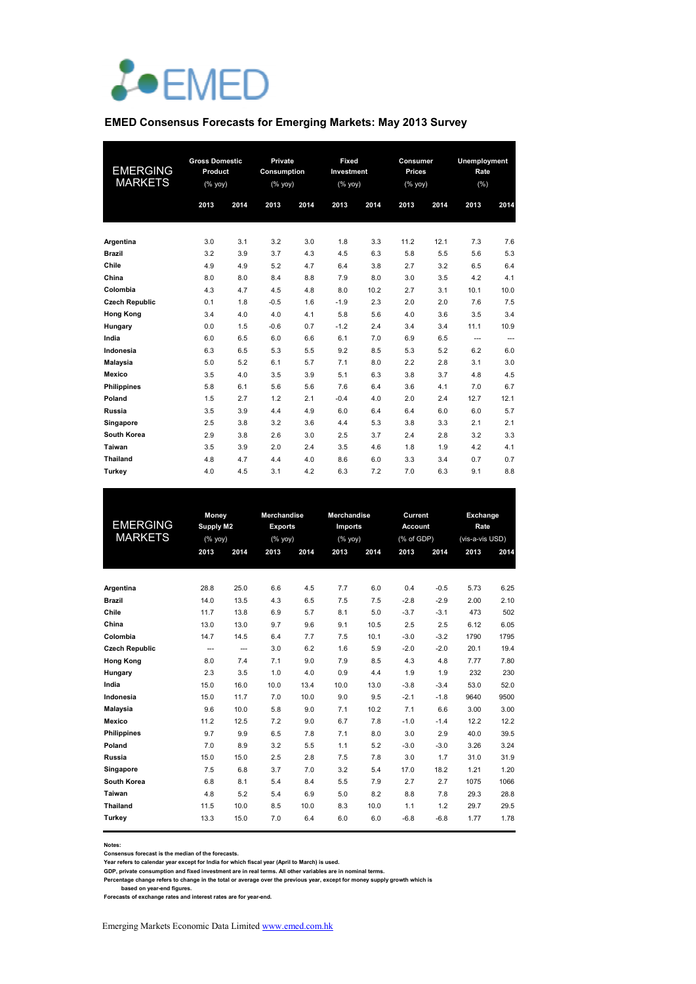

#### **EMED Consensus Forecasts for Emerging Markets: May 2013 Survey**

| <b>EMERGING</b><br><b>MARKETS</b> | <b>Gross Domestic</b><br>Product<br>(% |      | Private<br>Consumption<br>$(%$ yoy) |      | Fixed<br>Investment<br>$(%$ yoy) |      | Consumer<br><b>Prices</b><br>$(%$ (% yoy) |      | Unemployment<br>Rate<br>(% ) |      |
|-----------------------------------|----------------------------------------|------|-------------------------------------|------|----------------------------------|------|-------------------------------------------|------|------------------------------|------|
|                                   | 2013                                   | 2014 | 2013                                | 2014 | 2013                             | 2014 | 2013                                      | 2014 | 2013                         | 2014 |
| Argentina                         | 3.0                                    | 3.1  | 3.2                                 | 3.0  | 1.8                              | 3.3  | 11.2                                      | 12.1 | 7.3                          | 7.6  |
| <b>Brazil</b>                     | 3.2                                    | 3.9  | 3.7                                 | 4.3  | 4.5                              | 6.3  | 5.8                                       | 5.5  | 5.6                          | 5.3  |
| Chile                             | 4.9                                    | 4.9  | 5.2                                 | 4.7  | 6.4                              | 3.8  | 2.7                                       | 3.2  | 6.5                          | 6.4  |
| China                             | 8.0                                    | 8.0  | 8.4                                 | 8.8  | 7.9                              | 8.0  | 3.0                                       | 3.5  | 4.2                          | 4.1  |
| Colombia                          | 4.3                                    | 4.7  | 4.5                                 | 4.8  | 8.0                              | 10.2 | 2.7                                       | 3.1  | 10.1                         | 10.0 |
| <b>Czech Republic</b>             | 0.1                                    | 1.8  | $-0.5$                              | 1.6  | $-1.9$                           | 2.3  | 2.0                                       | 2.0  | 7.6                          | 7.5  |
| <b>Hong Kong</b>                  | 3.4                                    | 4.0  | 4.0                                 | 4.1  | 5.8                              | 5.6  | 4.0                                       | 3.6  | 3.5                          | 3.4  |
| Hungary                           | 0.0                                    | 1.5  | $-0.6$                              | 0.7  | $-1.2$                           | 2.4  | 3.4                                       | 3.4  | 11.1                         | 10.9 |
| India                             | 6.0                                    | 6.5  | 6.0                                 | 6.6  | 6.1                              | 7.0  | 6.9                                       | 6.5  | $\cdots$                     | ---  |
| Indonesia                         | 6.3                                    | 6.5  | 5.3                                 | 5.5  | 9.2                              | 8.5  | 5.3                                       | 5.2  | 6.2                          | 6.0  |
| Malaysia                          | 5.0                                    | 5.2  | 6.1                                 | 5.7  | 7.1                              | 8.0  | 2.2                                       | 2.8  | 3.1                          | 3.0  |
| <b>Mexico</b>                     | 3.5                                    | 4.0  | 3.5                                 | 3.9  | 5.1                              | 6.3  | 3.8                                       | 3.7  | 4.8                          | 4.5  |
| <b>Philippines</b>                | 5.8                                    | 6.1  | 5.6                                 | 5.6  | 7.6                              | 6.4  | 3.6                                       | 4.1  | 7.0                          | 6.7  |
| Poland                            | 1.5                                    | 2.7  | 1.2                                 | 2.1  | $-0.4$                           | 4.0  | 2.0                                       | 2.4  | 12.7                         | 12.1 |
| Russia                            | 3.5                                    | 3.9  | 4.4                                 | 4.9  | 6.0                              | 6.4  | 6.4                                       | 6.0  | 6.0                          | 5.7  |
| Singapore                         | 2.5                                    | 3.8  | 3.2                                 | 3.6  | 4.4                              | 5.3  | 3.8                                       | 3.3  | 2.1                          | 2.1  |
| South Korea                       | 2.9                                    | 3.8  | 2.6                                 | 3.0  | 2.5                              | 3.7  | 2.4                                       | 2.8  | 3.2                          | 3.3  |
| Taiwan                            | 3.5                                    | 3.9  | 2.0                                 | 2.4  | 3.5                              | 4.6  | 1.8                                       | 1.9  | 4.2                          | 4.1  |
| <b>Thailand</b>                   | 4.8                                    | 4.7  | 4.4                                 | 4.0  | 8.6                              | 6.0  | 3.3                                       | 3.4  | 0.7                          | 0.7  |
| <b>Turkey</b>                     | 4.0                                    | 4.5  | 3.1                                 | 4.2  | 6.3                              | 7.2  | 7.0                                       | 6.3  | 9.1                          | 8.8  |

|                       | <b>Money</b>     |      | <b>Merchandise</b> |      | <b>Merchandise</b> |      | Current        |        | <b>Exchange</b> |      |
|-----------------------|------------------|------|--------------------|------|--------------------|------|----------------|--------|-----------------|------|
| <b>EMERGING</b>       | <b>Supply M2</b> |      | <b>Exports</b>     |      | <b>Imports</b>     |      | <b>Account</b> |        | Rate            |      |
| <b>MARKETS</b>        | (%               |      | $(%$ yoy)          |      | (%                 |      | (% of GDP)     |        | (vis-a-vis USD) |      |
|                       | 2013             | 2014 | 2013               | 2014 | 2013               | 2014 | 2013           | 2014   | 2013            | 2014 |
|                       |                  |      |                    |      |                    |      |                |        |                 |      |
| Argentina             | 28.8             | 25.0 | 6.6                | 4.5  | 7.7                | 6.0  | 0.4            | $-0.5$ | 5.73            | 6.25 |
| <b>Brazil</b>         | 14.0             | 13.5 | 4.3                | 6.5  | 7.5                | 7.5  | $-2.8$         | $-2.9$ | 2.00            | 2.10 |
| Chile                 | 11.7             | 13.8 | 6.9                | 5.7  | 8.1                | 5.0  | $-3.7$         | $-3.1$ | 473             | 502  |
| China                 | 13.0             | 13.0 | 9.7                | 9.6  | 9.1                | 10.5 | 2.5            | 2.5    | 6.12            | 6.05 |
| Colombia              | 14.7             | 14.5 | 6.4                | 7.7  | 7.5                | 10.1 | $-3.0$         | $-3.2$ | 1790            | 1795 |
| <b>Czech Republic</b> | ---              | ---  | 3.0                | 6.2  | 1.6                | 5.9  | $-2.0$         | $-2.0$ | 20.1            | 19.4 |
| <b>Hong Kong</b>      | 8.0              | 7.4  | 7.1                | 9.0  | 7.9                | 8.5  | 4.3            | 4.8    | 7.77            | 7.80 |
| Hungary               | 2.3              | 3.5  | 1.0                | 4.0  | 0.9                | 4.4  | 1.9            | 1.9    | 232             | 230  |
| India                 | 15.0             | 16.0 | 10.0               | 13.4 | 10.0               | 13.0 | $-3.8$         | $-3.4$ | 53.0            | 52.0 |
| Indonesia             | 15.0             | 11.7 | 7.0                | 10.0 | 9.0                | 9.5  | $-2.1$         | $-1.8$ | 9640            | 9500 |
| <b>Malaysia</b>       | 9.6              | 10.0 | 5.8                | 9.0  | 7.1                | 10.2 | 7.1            | 6.6    | 3.00            | 3.00 |
| <b>Mexico</b>         | 11.2             | 12.5 | 7.2                | 9.0  | 6.7                | 7.8  | $-1.0$         | $-1.4$ | 12.2            | 12.2 |
| <b>Philippines</b>    | 9.7              | 9.9  | 6.5                | 7.8  | 7.1                | 8.0  | 3.0            | 2.9    | 40.0            | 39.5 |
| Poland                | 7.0              | 8.9  | 3.2                | 5.5  | 1.1                | 5.2  | $-3.0$         | $-3.0$ | 3.26            | 3.24 |
| Russia                | 15.0             | 15.0 | 2.5                | 2.8  | 7.5                | 7.8  | 3.0            | 1.7    | 31.0            | 31.9 |
| Singapore             | 7.5              | 6.8  | 3.7                | 7.0  | 3.2                | 5.4  | 17.0           | 18.2   | 1.21            | 1.20 |
| South Korea           | 6.8              | 8.1  | 5.4                | 8.4  | 5.5                | 7.9  | 2.7            | 2.7    | 1075            | 1066 |
| Taiwan                | 4.8              | 5.2  | 5.4                | 6.9  | 5.0                | 8.2  | 8.8            | 7.8    | 29.3            | 28.8 |
| <b>Thailand</b>       | 11.5             | 10.0 | 8.5                | 10.0 | 8.3                | 10.0 | 1.1            | 1.2    | 29.7            | 29.5 |
| Turkey                | 13.3             | 15.0 | 7.0                | 6.4  | 6.0                | 6.0  | $-6.8$         | $-6.8$ | 1.77            | 1.78 |

**Notes: Consensus forecast is the median of the forecasts.**

**Year refers to calendar year except for India for which fiscal year (April to March) is used. GDP, private consumption and fixed investment are in real terms. All other variables are in nominal terms.**

Percentage change refers to change in the total or average over the previous year, except for money supply growth which is<br>based on year-end figures.<br>Forecasts of exchange rates and interest rates are for year-end.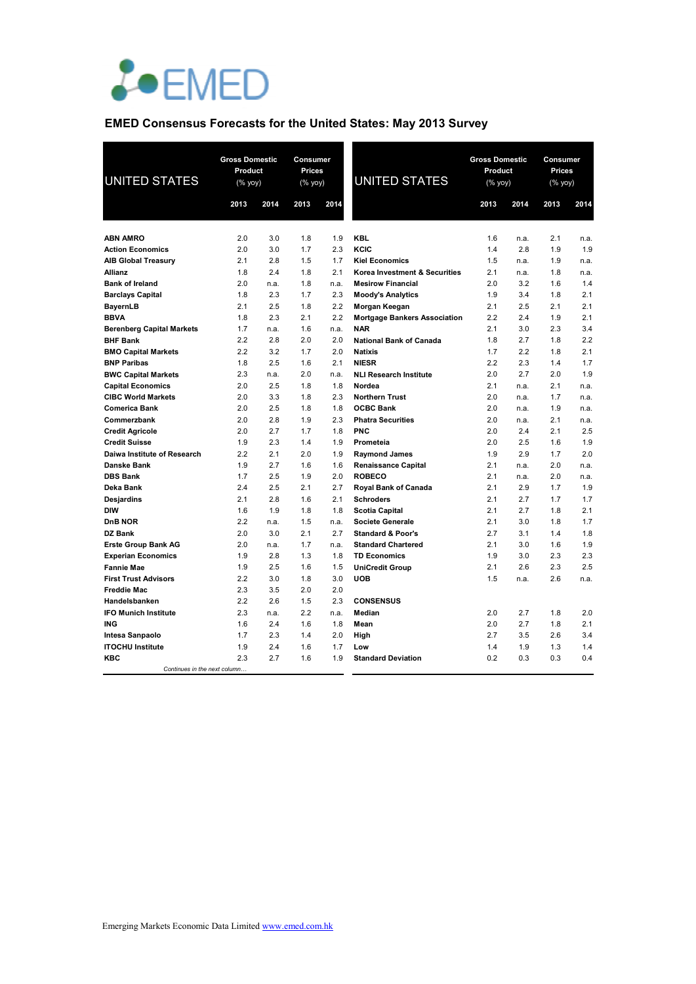

# **EMED Consensus Forecasts for the United States: May 2013 Survey**

| <b>UNITED STATES</b>                                    | <b>Gross Domestic</b><br>Product<br>$(% \mathsf{Y}^{\prime }\mathsf{Y}^{\prime }\mathsf{Y}^{\prime })$ |             | <b>Consumer</b><br><b>Prices</b><br>(% yoy) |             | <b>UNITED STATES</b>                                      | <b>Gross Domestic</b><br>Product<br>$(% \mathsf{Y}^{\prime }\mathsf{Y}^{\prime }\mathsf{Y}^{\prime })$ |            | <b>Consumer</b><br>Prices<br>(% yoy) |            |
|---------------------------------------------------------|--------------------------------------------------------------------------------------------------------|-------------|---------------------------------------------|-------------|-----------------------------------------------------------|--------------------------------------------------------------------------------------------------------|------------|--------------------------------------|------------|
|                                                         | 2013                                                                                                   | 2014        | 2013                                        | 2014        |                                                           | 2013                                                                                                   | 2014       | 2013                                 | 2014       |
|                                                         |                                                                                                        |             |                                             |             |                                                           |                                                                                                        |            |                                      |            |
| <b>ABN AMRO</b>                                         | 2.0                                                                                                    | 3.0         | 1.8                                         | 1.9         | <b>KBL</b>                                                | 1.6                                                                                                    | n.a.       | 2.1                                  | n.a.       |
| <b>Action Economics</b>                                 | 2.0                                                                                                    | 3.0         | 1.7                                         | 2.3         | KCIC                                                      | 1.4                                                                                                    | 2.8        | 1.9                                  | 1.9        |
| <b>AIB Global Treasury</b>                              | 2.1                                                                                                    | 2.8         | 1.5                                         | 1.7         | <b>Kiel Economics</b>                                     | 1.5                                                                                                    | n.a.       | 1.9                                  | n.a.       |
| <b>Allianz</b>                                          | 1.8                                                                                                    | 2.4         | 1.8                                         | 2.1         | Korea Investment & Securities                             | 2.1                                                                                                    | n.a.       | 1.8                                  | n.a.       |
| <b>Bank of Ireland</b>                                  | 2.0                                                                                                    | n.a.        | 1.8                                         | n.a.        | <b>Mesirow Financial</b>                                  | 2.0                                                                                                    | 3.2        | 1.6                                  | 1.4        |
| <b>Barclays Capital</b>                                 | 1.8                                                                                                    | 2.3         | 1.7                                         | 2.3         | <b>Moody's Analytics</b>                                  | 1.9                                                                                                    | 3.4        | 1.8                                  | 2.1        |
| <b>BayernLB</b>                                         | 2.1                                                                                                    | 2.5         | 1.8                                         | 2.2         | Morgan Keegan                                             | 2.1                                                                                                    | 2.5        | 2.1                                  | 2.1        |
| <b>BBVA</b>                                             | 1.8<br>1.7                                                                                             | 2.3         | 2.1<br>1.6                                  | 2.2         | <b>Mortgage Bankers Association</b><br><b>NAR</b>         | 2.2<br>2.1                                                                                             | 2.4<br>3.0 | 1.9<br>2.3                           | 2.1<br>3.4 |
| <b>Berenberg Capital Markets</b><br><b>BHF Bank</b>     | 2.2                                                                                                    | n.a.<br>2.8 | 2.0                                         | n.a.<br>2.0 | <b>National Bank of Canada</b>                            | 1.8                                                                                                    | 2.7        | 1.8                                  | 2.2        |
| <b>BMO Capital Markets</b>                              | 2.2                                                                                                    | 3.2         | 1.7                                         | 2.0         | <b>Natixis</b>                                            | 1.7                                                                                                    | 2.2        | 1.8                                  | 2.1        |
| <b>BNP Paribas</b>                                      | 1.8                                                                                                    | 2.5         | 1.6                                         | 2.1         | <b>NIESR</b>                                              | 2.2                                                                                                    | 2.3        | 1.4                                  | 1.7        |
| <b>BWC Capital Markets</b>                              | 2.3                                                                                                    | n.a.        | 2.0                                         | n.a.        | <b>NLI Research Institute</b>                             | 2.0                                                                                                    | 2.7        | 2.0                                  | 1.9        |
| <b>Capital Economics</b>                                | 2.0                                                                                                    | 2.5         | 1.8                                         | 1.8         | Nordea                                                    | 2.1                                                                                                    | n.a.       | 2.1                                  | n.a.       |
| <b>CIBC World Markets</b>                               | 2.0                                                                                                    | 3.3         | 1.8                                         | 2.3         | <b>Northern Trust</b>                                     | 2.0                                                                                                    | n.a.       | 1.7                                  | n.a.       |
| <b>Comerica Bank</b>                                    | 2.0                                                                                                    | 2.5         | 1.8                                         | 1.8         | <b>OCBC Bank</b>                                          | 2.0                                                                                                    | n.a.       | 1.9                                  | n.a.       |
| Commerzbank                                             | 2.0                                                                                                    | 2.8         | 1.9                                         | 2.3         | <b>Phatra Securities</b>                                  | 2.0                                                                                                    | n.a.       | 2.1                                  | n.a.       |
| <b>Credit Agricole</b>                                  | 2.0                                                                                                    | 2.7         | 1.7                                         | 1.8         | <b>PNC</b>                                                | 2.0                                                                                                    | 2.4        | 2.1                                  | 2.5        |
| <b>Credit Suisse</b>                                    | 1.9                                                                                                    | 2.3         | 1.4                                         | 1.9         | Prometeia                                                 | 2.0                                                                                                    | 2.5        | 1.6                                  | 1.9        |
| Daiwa Institute of Research                             | 2.2                                                                                                    | 2.1         | 2.0                                         | 1.9         | <b>Raymond James</b>                                      | 1.9                                                                                                    | 2.9        | 1.7                                  | 2.0        |
| <b>Danske Bank</b>                                      | 1.9                                                                                                    | 2.7         | 1.6                                         | 1.6         | <b>Renaissance Capital</b>                                | 2.1                                                                                                    | n.a.       | 2.0                                  | n.a.       |
| <b>DBS Bank</b>                                         | 1.7                                                                                                    | 2.5         | 1.9                                         | 2.0         | <b>ROBECO</b>                                             | 2.1                                                                                                    | n.a.       | 2.0                                  | n.a.       |
| Deka Bank                                               | 2.4                                                                                                    | 2.5         | 2.1                                         | 2.7         | <b>Royal Bank of Canada</b>                               | 2.1                                                                                                    | 2.9        | 1.7                                  | 1.9        |
| <b>Desjardins</b>                                       | 2.1                                                                                                    | 2.8         | 1.6                                         | 2.1         | <b>Schroders</b>                                          | 2.1                                                                                                    | 2.7        | 1.7                                  | 1.7        |
| DIW                                                     | 1.6                                                                                                    | 1.9         | 1.8                                         | 1.8         | <b>Scotia Capital</b>                                     | 2.1                                                                                                    | 2.7        | 1.8                                  | 2.1        |
| <b>DnB NOR</b>                                          | 2.2                                                                                                    | n.a.        | 1.5                                         | n.a.<br>2.7 | <b>Societe Generale</b>                                   | 2.1                                                                                                    | 3.0        | 1.8<br>1.4                           | 1.7<br>1.8 |
| DZ Bank                                                 | 2.0<br>2.0                                                                                             | 3.0<br>n.a. | 2.1<br>1.7                                  | n.a.        | <b>Standard &amp; Poor's</b><br><b>Standard Chartered</b> | 2.7<br>2.1                                                                                             | 3.1<br>3.0 | 1.6                                  | 1.9        |
| <b>Erste Group Bank AG</b><br><b>Experian Economics</b> | 1.9                                                                                                    | 2.8         | 1.3                                         | 1.8         | <b>TD Economics</b>                                       | 1.9                                                                                                    | 3.0        | 2.3                                  | 2.3        |
| <b>Fannie Mae</b>                                       | 1.9                                                                                                    | 2.5         | 1.6                                         | 1.5         | <b>UniCredit Group</b>                                    | 2.1                                                                                                    | 2.6        | 2.3                                  | 2.5        |
| <b>First Trust Advisors</b>                             | 2.2                                                                                                    | 3.0         | 1.8                                         | 3.0         | <b>UOB</b>                                                | 1.5                                                                                                    | n.a.       | 2.6                                  | n.a.       |
| <b>Freddie Mac</b>                                      | 2.3                                                                                                    | 3.5         | 2.0                                         | 2.0         |                                                           |                                                                                                        |            |                                      |            |
| Handelsbanken                                           | 2.2                                                                                                    | 2.6         | 1.5                                         | 2.3         | <b>CONSENSUS</b>                                          |                                                                                                        |            |                                      |            |
| <b>IFO Munich Institute</b>                             | 2.3                                                                                                    | n.a.        | 2.2                                         | n.a.        | Median                                                    | 2.0                                                                                                    | 2.7        | 1.8                                  | 2.0        |
| ING                                                     | 1.6                                                                                                    | 2.4         | 1.6                                         | 1.8         | Mean                                                      | 2.0                                                                                                    | 2.7        | 1.8                                  | 2.1        |
| Intesa Sanpaolo                                         | 1.7                                                                                                    | 2.3         | 1.4                                         | 2.0         | High                                                      | 2.7                                                                                                    | 3.5        | 2.6                                  | 3.4        |
| <b>ITOCHU Institute</b>                                 | 1.9                                                                                                    | 2.4         | 1.6                                         | 1.7         | Low                                                       | 1.4                                                                                                    | 1.9        | 1.3                                  | 1.4        |
| KBC                                                     | 2.3                                                                                                    | 2.7         | 1.6                                         | 1.9         | <b>Standard Deviation</b>                                 | 0.2                                                                                                    | 0.3        | 0.3                                  | 0.4        |
| Continues in the next column                            |                                                                                                        |             |                                             |             |                                                           |                                                                                                        |            |                                      |            |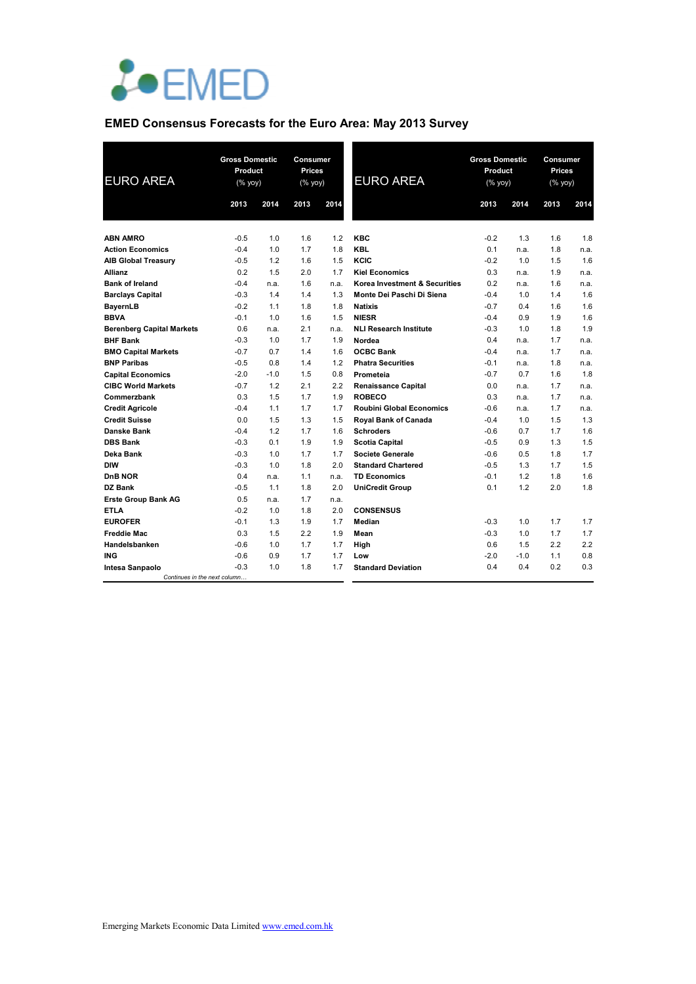

# **EMED Consensus Forecasts for the Euro Area: May 2013 Survey**

| <b>EURO AREA</b>                                | <b>Gross Domestic</b><br>Product<br>(% yoy) |        | <b>Consumer</b><br><b>Prices</b><br>(% yoy) |      | <b>EURO AREA</b>                | <b>Gross Domestic</b><br>Product<br>(% yoy) |        | Consumer<br><b>Prices</b><br>(% yoy) |      |
|-------------------------------------------------|---------------------------------------------|--------|---------------------------------------------|------|---------------------------------|---------------------------------------------|--------|--------------------------------------|------|
|                                                 | 2013                                        | 2014   | 2013                                        | 2014 |                                 | 2013                                        | 2014   | 2013                                 | 2014 |
|                                                 |                                             |        |                                             |      |                                 |                                             |        |                                      |      |
| <b>ABN AMRO</b>                                 | $-0.5$                                      | 1.0    | 1.6                                         | 1.2  | <b>KBC</b>                      | $-0.2$                                      | 1.3    | 1.6                                  | 1.8  |
| <b>Action Economics</b>                         | $-0.4$                                      | 1.0    | 1.7                                         | 1.8  | <b>KBL</b>                      | 0.1                                         | n.a.   | 1.8                                  | n.a. |
| <b>AIB Global Treasury</b>                      | $-0.5$                                      | 1.2    | 1.6                                         | 1.5  | KCIC                            | $-0.2$                                      | 1.0    | 1.5                                  | 1.6  |
| <b>Allianz</b>                                  | 0.2                                         | 1.5    | 2.0                                         | 1.7  | <b>Kiel Economics</b>           | 0.3                                         | n.a.   | 1.9                                  | n.a. |
| <b>Bank of Ireland</b>                          | $-0.4$                                      | n.a.   | 1.6                                         | n.a. | Korea Investment & Securities   | 0.2                                         | n.a.   | 1.6                                  | n.a. |
| <b>Barclays Capital</b>                         | $-0.3$                                      | 1.4    | 1.4                                         | 1.3  | Monte Dei Paschi Di Siena       | $-0.4$                                      | 1.0    | 1.4                                  | 1.6  |
| BayernLB                                        | $-0.2$                                      | 1.1    | 1.8                                         | 1.8  | <b>Natixis</b>                  | $-0.7$                                      | 0.4    | 1.6                                  | 1.6  |
| <b>BBVA</b>                                     | $-0.1$                                      | 1.0    | 1.6                                         | 1.5  | <b>NIESR</b>                    | $-0.4$                                      | 0.9    | 1.9                                  | 1.6  |
| <b>Berenberg Capital Markets</b>                | 0.6                                         | n.a.   | 2.1                                         | n.a. | <b>NLI Research Institute</b>   | $-0.3$                                      | 1.0    | 1.8                                  | 1.9  |
| <b>BHF Bank</b>                                 | $-0.3$                                      | 1.0    | 1.7                                         | 1.9  | Nordea                          | 0.4                                         | n.a.   | 1.7                                  | n.a. |
| <b>BMO Capital Markets</b>                      | $-0.7$                                      | 0.7    | 1.4                                         | 1.6  | <b>OCBC Bank</b>                | $-0.4$                                      | n.a.   | 1.7                                  | n.a. |
| <b>BNP Paribas</b>                              | $-0.5$                                      | 0.8    | 1.4                                         | 1.2  | <b>Phatra Securities</b>        | $-0.1$                                      | n.a.   | 1.8                                  | n.a. |
| <b>Capital Economics</b>                        | $-2.0$                                      | $-1.0$ | 1.5                                         | 0.8  | Prometeia                       | $-0.7$                                      | 0.7    | 1.6                                  | 1.8  |
| <b>CIBC World Markets</b>                       | $-0.7$                                      | 1.2    | 2.1                                         | 2.2  | <b>Renaissance Capital</b>      | 0.0                                         | n.a.   | 1.7                                  | n.a. |
| Commerzbank                                     | 0.3                                         | 1.5    | 1.7                                         | 1.9  | <b>ROBECO</b>                   | 0.3                                         | n.a.   | 1.7                                  | n.a. |
| <b>Credit Agricole</b>                          | $-0.4$                                      | 1.1    | 1.7                                         | 1.7  | <b>Roubini Global Economics</b> | $-0.6$                                      | n.a.   | 1.7                                  | n.a. |
| <b>Credit Suisse</b>                            | 0.0                                         | 1.5    | 1.3                                         | 1.5  | Royal Bank of Canada            | $-0.4$                                      | 1.0    | 1.5                                  | 1.3  |
| Danske Bank                                     | $-0.4$                                      | 1.2    | 1.7                                         | 1.6  | <b>Schroders</b>                | $-0.6$                                      | 0.7    | 1.7                                  | 1.6  |
| <b>DBS Bank</b>                                 | $-0.3$                                      | 0.1    | 1.9                                         | 1.9  | <b>Scotia Capital</b>           | $-0.5$                                      | 0.9    | 1.3                                  | 1.5  |
| Deka Bank                                       | $-0.3$                                      | 1.0    | 1.7                                         | 1.7  | <b>Societe Generale</b>         | $-0.6$                                      | 0.5    | 1.8                                  | 1.7  |
| <b>DIW</b>                                      | $-0.3$                                      | 1.0    | 1.8                                         | 2.0  | <b>Standard Chartered</b>       | $-0.5$                                      | 1.3    | 1.7                                  | 1.5  |
| DnB NOR                                         | 0.4                                         | n.a.   | 1.1                                         | n.a. | <b>TD Economics</b>             | $-0.1$                                      | 1.2    | 1.8                                  | 1.6  |
| DZ Bank                                         | $-0.5$                                      | 1.1    | 1.8                                         | 2.0  | <b>UniCredit Group</b>          | 0.1                                         | 1.2    | 2.0                                  | 1.8  |
| <b>Erste Group Bank AG</b>                      | 0.5                                         | n.a.   | 1.7                                         | n.a. |                                 |                                             |        |                                      |      |
| <b>ETLA</b>                                     | $-0.2$                                      | 1.0    | 1.8                                         | 2.0  | <b>CONSENSUS</b>                |                                             |        |                                      |      |
| <b>EUROFER</b>                                  | $-0.1$                                      | 1.3    | 1.9                                         | 1.7  | Median                          | $-0.3$                                      | 1.0    | 1.7                                  | 1.7  |
| <b>Freddie Mac</b>                              | 0.3                                         | 1.5    | 2.2                                         | 1.9  | Mean                            | $-0.3$                                      | 1.0    | 1.7                                  | 1.7  |
| Handelsbanken                                   | $-0.6$                                      | 1.0    | 1.7                                         | 1.7  | High                            | 0.6                                         | 1.5    | 2.2                                  | 2.2  |
| <b>ING</b>                                      | $-0.6$                                      | 0.9    | 1.7                                         | 1.7  | Low                             | $-2.0$                                      | $-1.0$ | 1.1                                  | 0.8  |
| Intesa Sanpaolo<br>Continues in the next column | $-0.3$                                      | 1.0    | 1.8                                         | 1.7  | <b>Standard Deviation</b>       | 0.4                                         | 0.4    | 0.2                                  | 0.3  |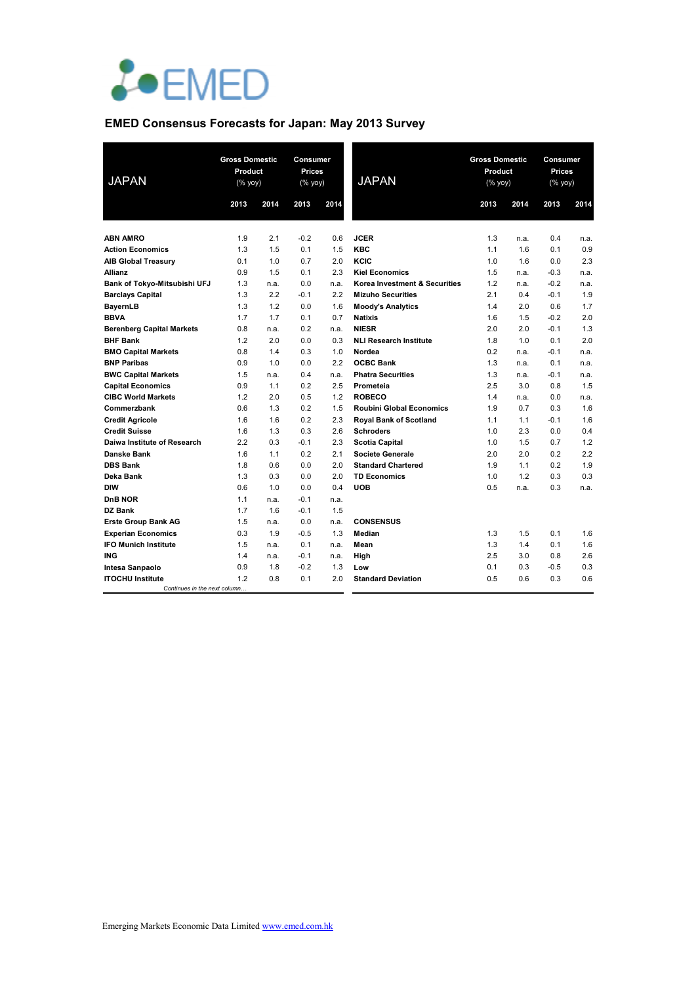

# **EMED Consensus Forecasts for Japan: May 2013 Survey**

| <b>JAPAN</b>                     | <b>Gross Domestic</b><br>Product<br>(% |             | <b>Consumer</b><br><b>Prices</b><br>(% yoy) |             | <b>JAPAN</b>                    | <b>Gross Domestic</b><br>Product<br>(% yoy) |            | <b>Consumer</b><br>Prices<br>(% yoy) |            |
|----------------------------------|----------------------------------------|-------------|---------------------------------------------|-------------|---------------------------------|---------------------------------------------|------------|--------------------------------------|------------|
|                                  | 2013                                   | 2014        | 2013                                        | 2014        |                                 | 2013                                        | 2014       | 2013                                 | 2014       |
|                                  |                                        |             |                                             |             |                                 |                                             |            |                                      |            |
| <b>ABN AMRO</b>                  | 1.9                                    | 2.1         | $-0.2$                                      | 0.6         | <b>JCER</b>                     | 1.3                                         | n.a.       | 0.4                                  | n.a.       |
| <b>Action Economics</b>          | 1.3                                    | 1.5         | 0.1                                         | 1.5         | <b>KBC</b>                      | 1.1                                         | 1.6        | 0.1                                  | 0.9        |
| <b>AIB Global Treasury</b>       | 0.1                                    | 1.0         | 0.7                                         | 2.0         | KCIC                            | 1.0                                         | 1.6        | 0.0                                  | 2.3        |
| <b>Allianz</b>                   | 0.9                                    | 1.5         | 0.1                                         | 2.3         | <b>Kiel Economics</b>           | 1.5                                         | n.a.       | $-0.3$                               | n.a.       |
| Bank of Tokyo-Mitsubishi UFJ     | 1.3                                    | n.a.        | 0.0                                         | n.a.        | Korea Investment & Securities   | 1.2                                         | n.a.       | $-0.2$                               | n.a.       |
| <b>Barclays Capital</b>          | 1.3                                    | 2.2         | $-0.1$                                      | 2.2         | <b>Mizuho Securities</b>        | 2.1                                         | 0.4        | $-0.1$                               | 1.9        |
| <b>BayernLB</b>                  | 1.3                                    | 1.2         | 0.0                                         | 1.6         | <b>Moody's Analytics</b>        | 1.4                                         | 2.0        | 0.6                                  | 1.7        |
| <b>BBVA</b>                      | 1.7                                    | 1.7         | 0.1                                         | 0.7         | <b>Natixis</b>                  | 1.6                                         | 1.5        | $-0.2$                               | 2.0        |
| <b>Berenberg Capital Markets</b> | 0.8                                    | n.a.        | 0.2                                         | n.a.        | <b>NIESR</b>                    | 2.0                                         | 2.0        | $-0.1$                               | 1.3        |
| <b>BHF Bank</b>                  | 1.2                                    | 2.0         | 0.0                                         | 0.3         | <b>NLI Research Institute</b>   | 1.8                                         | 1.0        | 0.1                                  | 2.0        |
| <b>BMO Capital Markets</b>       | 0.8                                    | 1.4         | 0.3                                         | 1.0         | Nordea                          | 0.2                                         | n.a.       | $-0.1$                               | n.a.       |
| <b>BNP Paribas</b>               | 0.9                                    | 1.0         | 0.0                                         | 2.2         | <b>OCBC Bank</b>                | 1.3                                         | n.a.       | 0.1                                  | n.a.       |
| <b>BWC Capital Markets</b>       | 1.5                                    | n.a.        | 0.4                                         | n.a.        | <b>Phatra Securities</b>        | 1.3                                         | n.a.       | $-0.1$                               | n.a.       |
| <b>Capital Economics</b>         | 0.9                                    | 1.1         | 0.2                                         | 2.5         | Prometeia                       | 2.5                                         | 3.0        | 0.8                                  | 1.5        |
| <b>CIBC World Markets</b>        | 1.2                                    | 2.0         | 0.5                                         | 1.2         | <b>ROBECO</b>                   | 1.4                                         | n.a.       | 0.0                                  | n.a.       |
| Commerzbank                      | 0.6                                    | 1.3         | 0.2                                         | 1.5         | <b>Roubini Global Economics</b> | 1.9                                         | 0.7        | 0.3                                  | 1.6        |
| <b>Credit Agricole</b>           | 1.6                                    | 1.6         | 0.2                                         | 2.3         | <b>Royal Bank of Scotland</b>   | 1.1                                         | 1.1        | $-0.1$                               | 1.6        |
| <b>Credit Suisse</b>             | 1.6                                    | 1.3         | 0.3                                         | 2.6         | <b>Schroders</b>                | 1.0                                         | 2.3        | 0.0                                  | 0.4        |
| Daiwa Institute of Research      | 2.2                                    | 0.3         | $-0.1$                                      | 2.3         | <b>Scotia Capital</b>           | 1.0                                         | 1.5        | 0.7                                  | 1.2        |
| Danske Bank                      | 1.6                                    | 1.1         | 0.2                                         | 2.1         | <b>Societe Generale</b>         | 2.0                                         | 2.0        | 0.2                                  | 2.2        |
| <b>DBS Bank</b>                  | 1.8                                    | 0.6         | 0.0                                         | 2.0         | <b>Standard Chartered</b>       | 1.9                                         | 1.1        | 0.2                                  | 1.9        |
| Deka Bank                        | 1.3                                    | 0.3         | 0.0                                         | 2.0         | <b>TD Economics</b>             | 1.0                                         | 1.2        | 0.3                                  | 0.3        |
| DIW                              | 0.6                                    | 1.0         | 0.0                                         | 0.4         | <b>UOB</b>                      | 0.5                                         | n.a.       | 0.3                                  | n.a.       |
| <b>DnB NOR</b>                   | 1.1                                    | n.a.        | $-0.1$                                      | n.a.        |                                 |                                             |            |                                      |            |
| DZ Bank                          | 1.7                                    | 1.6         | $-0.1$                                      | 1.5         |                                 |                                             |            |                                      |            |
| <b>Erste Group Bank AG</b>       | 1.5                                    | n.a.        | 0.0                                         | n.a.        | <b>CONSENSUS</b>                |                                             |            |                                      |            |
| <b>Experian Economics</b>        | 0.3                                    | 1.9         | $-0.5$                                      | 1.3         | Median                          | 1.3                                         | 1.5        | 0.1                                  | 1.6        |
| <b>IFO Munich Institute</b>      | 1.5                                    | n.a.        | 0.1                                         | n.a.        | Mean                            | 1.3                                         | 1.4        | 0.1                                  | 1.6        |
| <b>ING</b><br>Intesa Sanpaolo    | 1.4<br>0.9                             | n.a.<br>1.8 | $-0.1$<br>$-0.2$                            | n.a.<br>1.3 | High<br>Low                     | 2.5<br>0.1                                  | 3.0<br>0.3 | 0.8<br>$-0.5$                        | 2.6<br>0.3 |
| <b>ITOCHU Institute</b>          | 1.2                                    | 0.8         | 0.1                                         | 2.0         | <b>Standard Deviation</b>       | 0.5                                         | 0.6        | 0.3                                  | 0.6        |
| Continues in the next column     |                                        |             |                                             |             |                                 |                                             |            |                                      |            |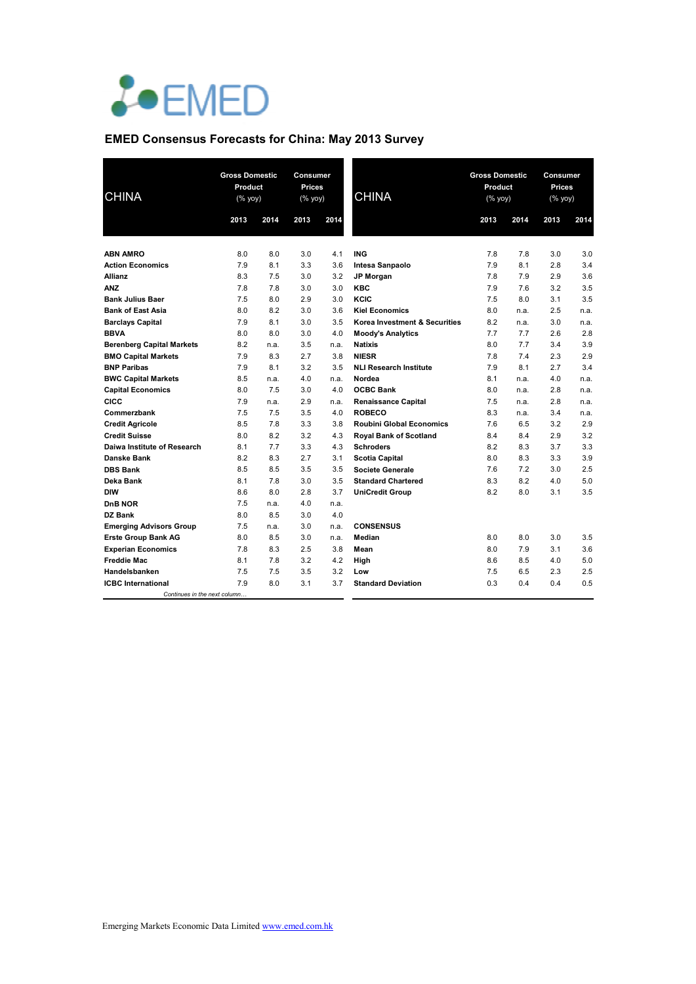

# **EMED Consensus Forecasts for China: May 2013 Survey**

| <b>CHINA</b>                               | <b>Gross Domestic</b><br>Product<br>(% yoy) |            | Consumer<br>Prices<br>(% yoy) |            | <b>CHINA</b>                    | <b>Gross Domestic</b><br>Product<br>(% yoy) |            | Consumer<br>Prices<br>$(% \mathsf{Y}^{\prime }\mathsf{Y}^{\prime }\mathsf{Y}^{\prime })$ |            |
|--------------------------------------------|---------------------------------------------|------------|-------------------------------|------------|---------------------------------|---------------------------------------------|------------|------------------------------------------------------------------------------------------|------------|
|                                            | 2013                                        | 2014       | 2013                          | 2014       |                                 | 2013                                        | 2014       | 2013                                                                                     | 2014       |
|                                            |                                             |            |                               |            |                                 |                                             |            |                                                                                          |            |
| <b>ABN AMRO</b><br><b>Action Economics</b> | 8.0<br>7.9                                  | 8.0<br>8.1 | 3.0<br>3.3                    | 4.1<br>3.6 | <b>ING</b>                      | 7.8<br>7.9                                  | 7.8<br>8.1 | 3.0<br>2.8                                                                               | 3.0<br>3.4 |
| <b>Allianz</b>                             | 8.3                                         | 7.5        | 3.0                           | 3.2        | Intesa Sanpaolo<br>JP Morgan    | 7.8                                         | 7.9        | 2.9                                                                                      | 3.6        |
| <b>ANZ</b>                                 | 7.8                                         | 7.8        | 3.0                           | 3.0        | <b>KBC</b>                      | 7.9                                         | 7.6        | 3.2                                                                                      | 3.5        |
| <b>Bank Julius Baer</b>                    | 7.5                                         | 8.0        | 2.9                           | 3.0        | KCIC                            | 7.5                                         | 8.0        | 3.1                                                                                      | 3.5        |
| <b>Bank of East Asia</b>                   | 8.0                                         | 8.2        | 3.0                           | 3.6        | <b>Kiel Economics</b>           | 8.0                                         | n.a.       | 2.5                                                                                      | n.a.       |
| <b>Barclays Capital</b>                    | 7.9                                         | 8.1        | 3.0                           | 3.5        | Korea Investment & Securities   | 8.2                                         | n.a.       | 3.0                                                                                      | n.a.       |
| <b>BBVA</b>                                | 8.0                                         | 8.0        | 3.0                           | 4.0        | <b>Moody's Analytics</b>        | 7.7                                         | 7.7        | 2.6                                                                                      | 2.8        |
| <b>Berenberg Capital Markets</b>           | 8.2                                         | n.a.       | 3.5                           | n.a.       | <b>Natixis</b>                  | 8.0                                         | 7.7        | 3.4                                                                                      | 3.9        |
| <b>BMO Capital Markets</b>                 | 7.9                                         | 8.3        | 2.7                           | 3.8        | <b>NIESR</b>                    | 7.8                                         | 7.4        | 2.3                                                                                      | 2.9        |
| <b>BNP Paribas</b>                         | 7.9                                         | 8.1        | 3.2                           | 3.5        | <b>NLI Research Institute</b>   | 7.9                                         | 8.1        | 2.7                                                                                      | 3.4        |
| <b>BWC Capital Markets</b>                 | 8.5                                         | n.a.       | 4.0                           | n.a.       | Nordea                          | 8.1                                         | n.a.       | 4.0                                                                                      | n.a.       |
| <b>Capital Economics</b>                   | 8.0                                         | 7.5        | 3.0                           | 4.0        | <b>OCBC Bank</b>                | 8.0                                         | n.a.       | 2.8                                                                                      | n.a.       |
| <b>CICC</b>                                | 7.9                                         | n.a.       | 2.9                           | n.a.       | <b>Renaissance Capital</b>      | 7.5                                         | n.a.       | 2.8                                                                                      | n.a.       |
| Commerzbank                                | 7.5                                         | 7.5        | 3.5                           | 4.0        | <b>ROBECO</b>                   | 8.3                                         | n.a.       | 3.4                                                                                      | n.a.       |
| <b>Credit Agricole</b>                     | 8.5                                         | 7.8        | 3.3                           | 3.8        | <b>Roubini Global Economics</b> | 7.6                                         | 6.5        | 3.2                                                                                      | 2.9        |
| <b>Credit Suisse</b>                       | 8.0                                         | 8.2        | 3.2                           | 4.3        | <b>Royal Bank of Scotland</b>   | 8.4                                         | 8.4        | 2.9                                                                                      | 3.2        |
| Daiwa Institute of Research                | 8.1                                         | 7.7        | 3.3                           | 4.3        | <b>Schroders</b>                | 8.2                                         | 8.3        | 3.7                                                                                      | 3.3        |
| <b>Danske Bank</b>                         | 8.2                                         | 8.3        | 2.7                           | 3.1        | <b>Scotia Capital</b>           | 8.0                                         | 8.3        | 3.3                                                                                      | 3.9        |
| <b>DBS Bank</b>                            | 8.5                                         | 8.5        | 3.5                           | 3.5        | <b>Societe Generale</b>         | 7.6                                         | 7.2        | 3.0                                                                                      | 2.5        |
| Deka Bank                                  | 8.1                                         | 7.8        | 3.0                           | 3.5        | <b>Standard Chartered</b>       | 8.3                                         | 8.2        | 4.0                                                                                      | 5.0        |
| DIW                                        | 8.6                                         | 8.0        | 2.8                           | 3.7        | <b>UniCredit Group</b>          | 8.2                                         | 8.0        | 3.1                                                                                      | 3.5        |
| DnB NOR                                    | 7.5                                         | n.a.       | 4.0                           | n.a.       |                                 |                                             |            |                                                                                          |            |
| <b>DZ Bank</b>                             | 8.0                                         | 8.5        | 3.0                           | 4.0        |                                 |                                             |            |                                                                                          |            |
| <b>Emerging Advisors Group</b>             | 7.5                                         | n.a.       | 3.0                           | n.a.       | <b>CONSENSUS</b>                |                                             |            |                                                                                          |            |
| <b>Erste Group Bank AG</b>                 | 8.0                                         | 8.5        | 3.0                           | n.a.       | Median                          | 8.0                                         | 8.0        | 3.0                                                                                      | 3.5        |
| <b>Experian Economics</b>                  | 7.8                                         | 8.3        | 2.5                           | 3.8        | Mean                            | 8.0                                         | 7.9        | 3.1                                                                                      | 3.6        |
| <b>Freddie Mac</b>                         | 8.1                                         | 7.8        | 3.2                           | 4.2        | High                            | 8.6                                         | 8.5        | 4.0                                                                                      | 5.0        |
| Handelsbanken                              | 7.5                                         | 7.5        | 3.5                           | 3.2        | Low                             | 7.5                                         | 6.5        | 2.3                                                                                      | 2.5        |
| <b>ICBC</b> International                  | 7.9                                         | 8.0        | 3.1                           | 3.7        | <b>Standard Deviation</b>       | 0.3                                         | 0.4        | 0.4                                                                                      | 0.5        |
| Continues in the next column               |                                             |            |                               |            |                                 |                                             |            |                                                                                          |            |